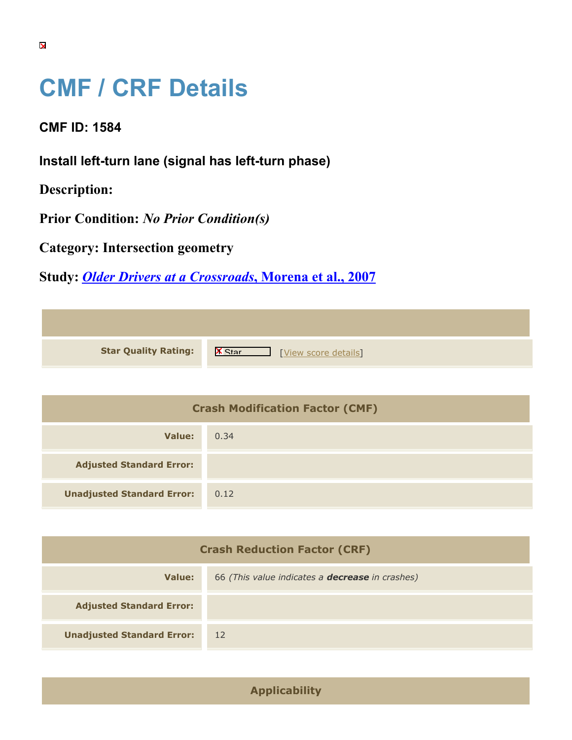## **CMF / CRF Details**

**CMF ID: 1584**

**Install left-turn lane (signal has left-turn phase)**

**Description:** 

**Prior Condition:** *No Prior Condition(s)*

**Category: Intersection geometry**

**Study:** *[Older Drivers at a Crossroads](https://cmfclearinghouse.org/study_detail.cfm?stid=77)***[, Morena et al., 2007](https://cmfclearinghouse.org/study_detail.cfm?stid=77)**

| <b>Star Quality Rating:</b> | $\mathsf{I}$<br>[View score details] |
|-----------------------------|--------------------------------------|

| <b>Crash Modification Factor (CMF)</b> |      |
|----------------------------------------|------|
| Value:                                 | 0.34 |
| <b>Adjusted Standard Error:</b>        |      |
| <b>Unadjusted Standard Error:</b>      | 0.12 |

| <b>Crash Reduction Factor (CRF)</b> |                                                        |
|-------------------------------------|--------------------------------------------------------|
| Value:                              | 66 (This value indicates a <b>decrease</b> in crashes) |
| <b>Adjusted Standard Error:</b>     |                                                        |
| <b>Unadjusted Standard Error:</b>   | 12                                                     |

**Applicability**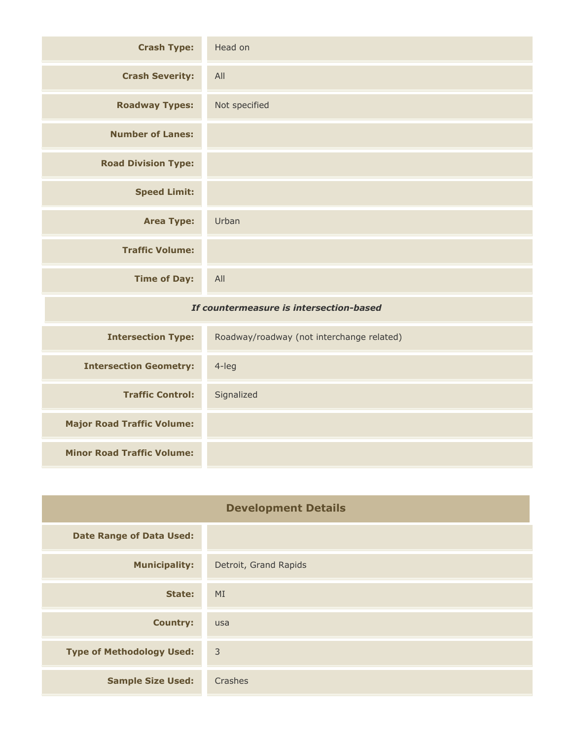| <b>Crash Type:</b>                      | Head on       |
|-----------------------------------------|---------------|
| <b>Crash Severity:</b>                  | All           |
| <b>Roadway Types:</b>                   | Not specified |
| <b>Number of Lanes:</b>                 |               |
| <b>Road Division Type:</b>              |               |
| <b>Speed Limit:</b>                     |               |
| <b>Area Type:</b>                       | Urban         |
| <b>Traffic Volume:</b>                  |               |
| <b>Time of Day:</b>                     | All           |
| If countermeasure is intersection-based |               |

| <b>Intersection Type:</b>         | Roadway/roadway (not interchange related) |
|-----------------------------------|-------------------------------------------|
| <b>Intersection Geometry:</b>     | $4$ -leg                                  |
| <b>Traffic Control:</b>           | Signalized                                |
| <b>Major Road Traffic Volume:</b> |                                           |
| <b>Minor Road Traffic Volume:</b> |                                           |

| <b>Development Details</b>       |                       |
|----------------------------------|-----------------------|
| <b>Date Range of Data Used:</b>  |                       |
| <b>Municipality:</b>             | Detroit, Grand Rapids |
| State:                           | MI                    |
| <b>Country:</b>                  | usa                   |
| <b>Type of Methodology Used:</b> | $\overline{3}$        |
| <b>Sample Size Used:</b>         | Crashes               |